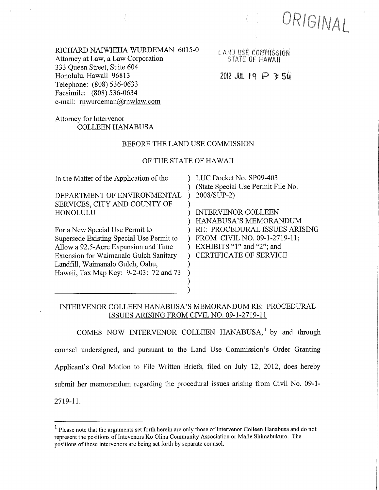ORIGINAL

RICHARD NAIWIEHA WURDEMAN 6015-0 Attorney at Law, a Law Corporation 333 Queen Street, Suite 604 Honolulu, Hawaii 96813 Telephone: (808) 536-0633 Facsimile: (808) 536-0634 e-mail: rnwurdeman@rnwlaw.com

LAND USE COMMISSION STATE OF HAWAII

## $2012$  JUL 19  $P$  3: 50

## Attorney for Intervenor COLLEEN HANABUSA

### BEFORE THE LAND USE COMMISSION

### OF THE STATE OF HAWAII

| In the Matter of the Application of the       | LUC Docket No. SP09-403            |
|-----------------------------------------------|------------------------------------|
|                                               | (State Special Use Permit File No. |
| DEPARTMENT OF ENVIRONMENTAL                   | 2008/SUP-2)                        |
| SERVICES, CITY AND COUNTY OF                  |                                    |
| HONOLULU                                      | <b>INTERVENOR COLLEEN</b>          |
|                                               | HANABUSA'S MEMORANDUM              |
| For a New Special Use Permit to               | RE: PROCEDURAL ISSUES ARISING      |
| Supersede Existing Special Use Permit to      | FROM CIVIL NO. 09-1-2719-11;       |
| Allow a 92.5-Acre Expansion and Time          | EXHIBITS "1" and "2"; and          |
| <b>Extension for Waimanalo Gulch Sanitary</b> | <b>CERTIFICATE OF SERVICE</b>      |
| Landfill, Waimanalo Gulch, Oahu,              |                                    |
| Hawaii, Tax Map Key: 9-2-03: 72 and 73        |                                    |
|                                               |                                    |
|                                               |                                    |

## INTERVENOR COLLEEN HANABUSA'S MEMORANDUM RE: PROCEDURAL ISSUES ARISING FROM CIVIL NO. 09-1-2719-11

COMES NOW INTERVENOR COLLEEN HANABUSA,<sup>1</sup> by and through counsel undersigned, and pursuant to the Land Use Commission's Order Granting Applicant's Oral Motion to File Written Briefs, filed on July 12, 2012, does hereby submit her memorandum regarding the procedural issues arising from Civil No. 09-1- 2719-11.

<sup>&</sup>lt;sup>1</sup> Please note that the arguments set forth herein are only those of Intervenor Colleen Hanabusa and do not represent the positions of Intevenors Ko Olina Community Association or Maile Shimabukuro. The positions of those intervenors are being set forth by separate counsel.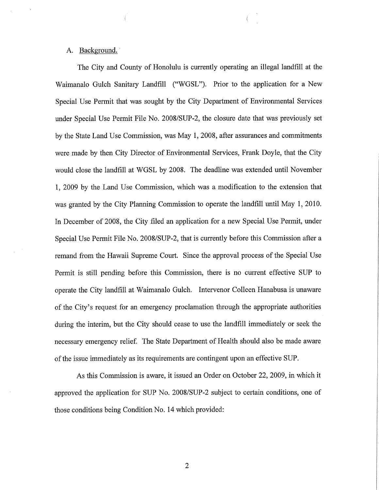### A. Background.'

The City and County of Honolulu is currently operating an illegal landfill at the Waimanalo Gulch Sanitary Landfill ("WGSL"). Prior to the application for a New Special Use Permit that was sought by the City Department of Environmental Services under Special Use Permit File No. 2008/SUP-2, the closure date that was previously set by the State Land Use Commission, was May 1, 2008, after assurances and commitments were made by then City Director of Environmental Services, Frank Doyle, that the City would close the landfill at WGSL by 2008. The deadline was extended until November 1, 2009 by the Land Use Commission, which was a modification to the extension that was granted by the City Planning Commission to operate the landfill until May 1, 2010. In December of 2008, the City filed an application for a new Special Use Permit, under Special Use Permit File No. 2008/SUP-2, that is currently before this Commission after a remand from the Hawaii Supreme Court. Since the approval process of the Special Use Permit is still pending before this Commission, there is no current effective SUP to operate the City landfill at Waimanalo Gulch. Intervenor Colleen Hanabusa is unaware of the City's request for an emergency proclamation through the appropriate authorities during the interim, but the City should cease to use the landfill immediately or seek the necessary emergency relief. The State Department of Health should also be made aware of the issue immediately as its requirements are contingent upon an effective SUP.

As this Commission is aware, it issued an Order on October 22, 2009, in which it approved the application for SUP No. 2008/SUP-2 subject to certain conditions, one of those conditions being Condition No. 14 which provided: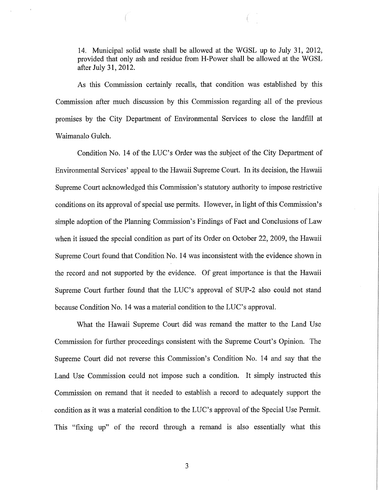14. Municipal solid waste shall be allowed at the WGSL up to July 31, 2012, provided that only ash and residue from H-Power shall be allowed at the WGSL after July 31, 2012.

As this Commission certainly recalls, that condition was established by this Commission after much discussion by this Commission regarding all of the previous promises by the City Department of Environmental Services to close the landfill at Waimanalo Gulch.

Condition No. 14 of the LUC's Order was the subject of the City Department of Environmental Services' appeal to the Hawaii Supreme Court. In its decision, the Hawaii Supreme Court acknowledged this Commission's statutory authority to impose restrictive conditions on its approval of special use permits. However, in light of this Commission's simple adoption of the Planning Commission's Findings of Fact and Conclusions of Law when it issued the special condition as part of its Order on October 22, 2009, the Hawaii Supreme Court found that Condition No. 14 was inconsistent with the evidence shown in the record and not supported by the evidence. Of great importance is that the Hawaii Supreme Court further found that the LUC's approval of SUP-2 also could not stand because Condition No. 14 was a material condition to the LUC's approval.

What the Hawaii Supreme Court did was remand the matter to the Land Use Commission for further proceedings consistent with the Supreme Court's Opinion. The Supreme Court did not reverse this Commission's Condition No. 14 and say that the Land Use Commission could not impose such a condition. It simply instructed this Commission on remand that it needed to establish a record to adequately support the condition as it was a material condition to the LUC's approval of the Special Use Permit. This "fixing up" of the record through a remand is also essentially what this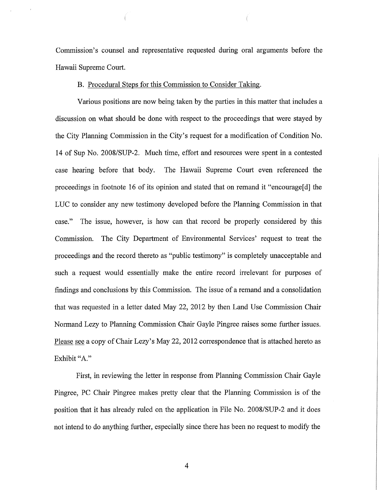Commission's counsel and representative requested during oral arguments before the Hawaii Supreme Court.

### B. Procedural Steps for this Commission to Consider Taking.

Various positions are now being taken by the parties in this matter that includes a discussion on what should be done with respect to the proceedings that were stayed by the City Planning Commission in the City's request for a modification of Condition No. 14 of Sup No. 2008/SUP-2. Much time, effort and resources were spent in a contested case hearing before that body. The Hawaii Supreme Court even referenced the proceedings in footnote 16 of its opinion and stated that on remand it "encourage[d] the LUC to consider any new testimony developed before the Planning Commission in that case." The issue, however, is how can that record be properly considered by this Commission. The City Department of Environmental Services' request to treat the proceedings and the record thereto as "public testimony" is completely unacceptable and such a request would essentially make the entire record irrelevant for purposes of findings and conclusions by this Commission. The issue of a remand and a consolidation that was requested in a letter dated May 22, 2012 by then Land Use Commission Chair Normand Lezy to Planning Commission Chair Gayle Pingree raises some further issues. Please see a copy of Chair Lezy's May 22, 2012 correspondence that is attached hereto as Exhibit "A."

First, in reviewing the letter in response from Planning Commission Chair Gayle Pingree, PC Chair Pingree makes pretty clear that the Planning Commission is of the position that it has already ruled on the application in File No. 2008/SUP-2 and it does not intend to do anything further, especially since there has been no request to modify the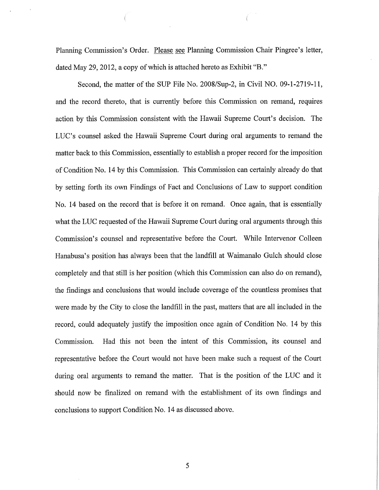Planning Commission's Order. Please see Planning Commission Chair Pingree's letter, dated May 29, 2012, a copy of which is attached hereto as Exhibit "B."

Second, the matter of the SUP File No. 2008/Sup-2, in Civil NO. 09-1-2719-11, and the record thereto, that is currently before this Commission on remand, requires action by this Commission consistent with the Hawaii Supreme Court's decision. The LUC's counsel asked the Hawaii Supreme Court during oral arguments to remand the matter back to this Commission, essentially to establish a proper record for the imposition of Condition No. 14 by this Commission. This Commission can certainly already do that by setting forth its own Findings of Fact and Conclusions of Law to support condition No. 14 based on the record that is before it on remand. Once again, that is essentially what the LUC requested of the Hawaii Supreme Court during oral arguments through this Commission's counsel and representative before the Court. While Intervenor Colleen Hanabusa's position has always been that the landfill at Waimanalo Gulch should close completely and that still is her position (which this Commission can also do on remand), the findings and conclusions that would include coverage of the countless promises that were made by the City to close the landfill in the past, matters that are all included in the record, could adequately justify the imposition once again of Condition No. 14 by this Commission. Had this not been the intent of this Commission, its counsel and representative before the Court would not have been make such a request of the Court during oral arguments to remand the matter. That is the position of the LUC and it should now be finalized on remand with the establishment of its own findings and conclusions to support Condition No. 14 as discussed above.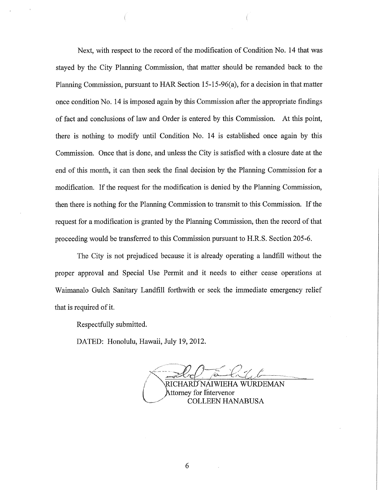Next, with respect to the record of the modification of Condition No. 14 that was stayed by the City Planning Commission, that matter should be remanded back to the Planning Commission, pursuant to HAR Section 15-15-96(a), for a decision in that matter once condition No. 14 is imposed again by this Commission after the appropriate findings of fact and conclusions of law and Order is entered by this Commission. At this point, there is nothing to modify until Condition No. 14 is established once again by this Commission. Once that is done, and unless the City is satisfied with a closure date at the end of this month, it can then seek the final decision by the Planning Commission for a modification. If the request for the modification is denied by the Planning Commission, then there is nothing for the Planning Commission to transmit to this Commission. If the request for a modification is granted by the Planning Commission, then the record of that proceeding would be transferred to this Commission pursuant to H.R.S. Section 205-6.

The City is not prejudiced because it is already operating a landfill without the proper approval and Special Use Permit and it needs to either cease operations at Waimanalo Gulch Sanitary Landfill forthwith or seek the immediate emergency relief that is required of it.

Respectfully submitted.

DATED: Honolulu, Hawaii, July 19, 2012.

RICHARD NÁIWIEHA WURDEMAN Attorney for Intervenor COLLEEN HANABUSA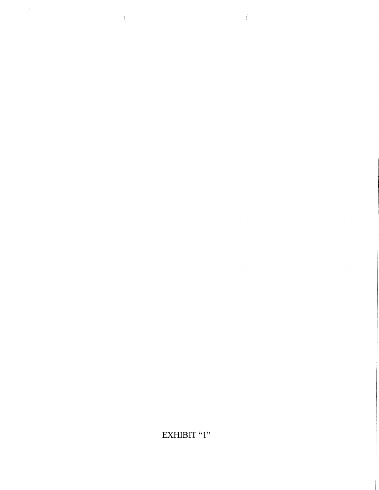# EXHIBIT "1"

 $\label{eq:2.1} \mathcal{L}(\mathcal{L}^{\mathcal{L}}_{\mathcal{L}}(\mathcal{L}^{\mathcal{L}}_{\mathcal{L}}))\leq \mathcal{L}(\mathcal{L}^{\mathcal{L}}_{\mathcal{L}}(\mathcal{L}^{\mathcal{L}}_{\mathcal{L}}))\leq \mathcal{L}(\mathcal{L}^{\mathcal{L}}_{\mathcal{L}}(\mathcal{L}^{\mathcal{L}}_{\mathcal{L}}))$ 

 $\label{eq:2} \frac{1}{\sqrt{2}}\int_{\mathbb{R}^3} \frac{1}{\sqrt{2}}\left(\frac{1}{\sqrt{2}}\right)^2\frac{dx}{dx}dx$ 

 $\left($ 

 $\left($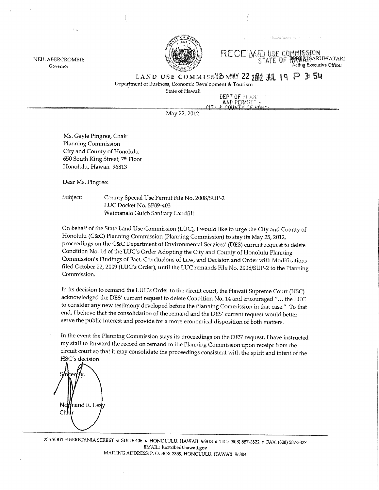

**RECEIVARD USE COMMISSION BERWAISARUWATARI** STATE OF Acting Executive Officer

LAND USE COMMISSIONMAY 22  $2\frac{m}{2}$   $3\frac{m}{2}$   $19$  P 3: 54

Department of Business, Economic Development & Tourism

State of Hawaii

DEPT OF PLANE AND PERMITT !

May 22, 2012

Ms. Gayle Pingree, Chair Planning Commission City and County of Honolulu 650 South King Street, 7th Floor Honolulu, Hawaii 96813

Dear Ms. Pingree:

**NEIL ABERCROMBIE** 

Governor

Subject: County Special Use Permit File No. 2008/SUP-2 LUC Docket No. SP09-403 Waimanalo Gulch Sanitary Landfill

On behalf of the State Land Use Commission (LUC), I would like to urge the City and County of Honolulu (C&C) Planning Commission (Planning Commission) to stay its May 25, 2012, proceedings on the C&C Department of Environmental Services' (DES) current request to delete Condition No. 14 of the LUC's Order Adopting the City and County of Honolulu Planning Commission's Findings of Fact, Conclusions of Law, and Decision and Order with Modifications filed October 22, 2009 (LUC's Order), until the LUC remands File No. 2008/SUP-2 to the Planning Commission.

In its decision to remand the LUC's Order to the circuit court, the Hawaii Supreme Court (HSC) acknowledged the DES' current request to delete Condition No. 14 and encouraged "... the LUC to consider any new testimony developed before the Planning Commission in that case." To that end, I believe that the consolidation of the remand and the DES' current request would better serve the public interest and provide for a more economical disposition of both matters.

In the event the Planning Commission stays its proceedings on the DES' request, I have instructed my staff to forward the record on remand to the Planning Commission upon receipt from the circuit court so that it may consolidate the proceedings consistent with the spirit and intent of the HSC's decision.



235 SOUTH BERETANIA STREET © SUITE 406 © HONOLULU, HAWAII 96813 © TEL: (808) 587-3822 © FAX: (808) 587-3827 EMAIL: luc@dbedt.hawaii.gov MAILING ADDRESS: P. O. BOX 2359, HONOLULU, HAWAII 96804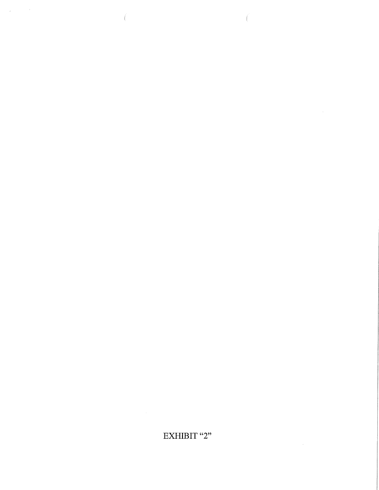# EXHIBIT "2"

 $\left($ 

 $\label{eq:2.1} \frac{1}{\left\| \left( \frac{1}{\sqrt{2}} \right) \right\|_{\mathcal{L}^{1}} \leq \frac{1}{\sqrt{2}} \left( \frac{1}{\sqrt{2}} \right)^{1/2}$ 

 $\mathcal{L}^{\text{max}}_{\text{max}}$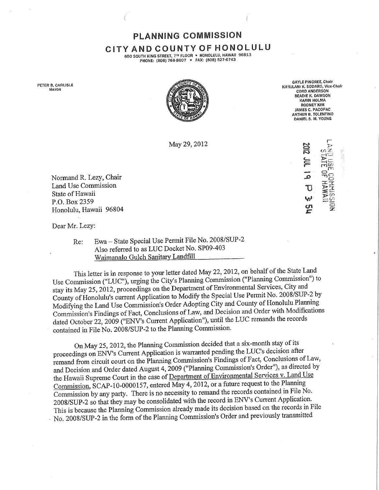PLANNING COMMiSSiON

## ClTY AND COUNTY OF HONOLULU

650 SOUTH KING STREET, 7<sup>TH</sup> FLOOR • HONOLULU, HAWAII 96813 PHONE; (808) 768-8007 · FAX: (808) 527-6743

PETER B, CARLISLE **MAYOR** 



'IULANI K, SODARO, Vice-Chair CORD ANDERSON BEADIE K. DAWSON KARIN HOLMA RODN£Y KIM JAMES C. PACOPAC ARTHUR B. TOLENTINO DANtEL S. M, YOUNG

> $\Xi$  $\mathbf{z}_-$  ج $\mathbf{z}_-$

 $\mathbf{g}$ 

GAYLE PINGREE, Chair

May 29, 2012

Normand R. Lezy, Chair Land Use Commission State of Hawaii P.O. Box 2359 Honolulu, Hawaii 96804

Dear Mr. Lezy:

Re: Ewa - State Special Use Permit File No. 2008/SUP-2 Also referred to as LUC Docket No. SP09-403 Waimanalo Gulch Sanitary Landfill

This letter is in response to your letter dated May 22, 2012, on behalf of the State Land Use Commission ("LUC"), urging the City's Planning Commission ("Planning Commission") to stay its May 25, 2012, proceedings on the Department of Environmental Services, City and County of Honolulu's current Application to Modify the Special Use Permit No. 2008/SUP-2 by Modifying the Land Use Commission's Order Adopting City and County of Honolulu Planning Commission's Findings of Fact, Conclusions of Law, and Decision and Order with Modifications dated October 22, 2009 ("ENV's Current Application"), until the LUC remands the records contained in File No. 2008/SUP-2 to the Planning Commission.

On May 25, 2012, the Planning Commission decided that a six-month stay of its proceedings on ENV's Current Application is warranted pending the LUC's decision after remand from circuit court on the Planning Commission's Findings of Fact, Conclusions of Law, and Decision and Order dated August 4, 2009 ("Planning Commission's Order"), as directed by the Hawaii Supreme Court in the case of Department of Environmental Services v. Land Use Commission, SCAP-10-0000157, entered May 4, 2012, or a future request to the Planning Commission by any party. There is no necessity to remand the records contained in File No. 2008/SUP-2 so that they may be consolidated with the record in ENV's Current Application. This is because the Planning Commission already made its decision based on the records in File No. 2008/SUP-2 in the form of the Planning Commission's Order and previously transmitted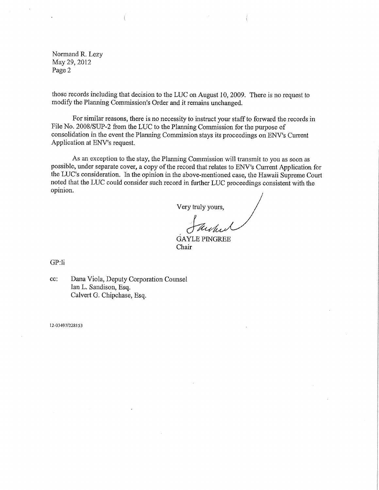Normand R. Lezy May 29, 2012 Page 2

those records including that decision to the LUC on August 10, 2009. There is no request to modify the Planning Commission's Order and it remains unchanged.

For similar reasons, there is no necessity to instruct your staffto forward the records in File No. 2008/SUP-2 from the LUC to the Planning Commission for the purpose of consolidation in the event the Plamling Commission stays its proceedings on ENV's Current Application at ENV's request.

As an exception to the stay, the Planning Commission will transmit to you as soon as possible, under separate cover, a copy of the record that relates to ENV's Current Application for the LUC's consideration. In the opinion in the above-mentioned case, the Hawaii Supreme Court noted that the LUC could consider such record in further LUC proceedings consistent with the As an exception to the stay, the Planning Commission will transmit the possible, under separate cover, a copy of the record that relates to ENV's Cu the LUC's consideration. In the opinion in the above-mentioned case, the

Very truly yours,

GAYLE PINGREE Chair

GP:Ii

cc: Dana Viola, Deputy Corporation Counsel Ian L. Sandison, Esq. Calvert G. Chipchase, Esq.

12-03497/228153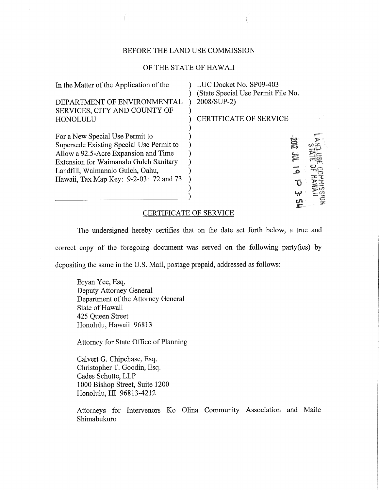### BEFORE THE LAND USE COMMISSION

#### OF THE STATE OF HAWAII

| In the Matter of the Application of the       | LUC Docket No. SP09-403<br>(State Special Use Permit File No. |  |
|-----------------------------------------------|---------------------------------------------------------------|--|
| DEPARTMENT OF ENVIRONMENTAL                   | 2008/SUP-2)                                                   |  |
| SERVICES, CITY AND COUNTY OF                  |                                                               |  |
| HONOLULU                                      | <b>CERTIFICATE OF SERVICE</b>                                 |  |
|                                               |                                                               |  |
| For a New Special Use Permit to               |                                                               |  |
| Supersede Existing Special Use Permit to      | g                                                             |  |
| Allow a 92.5-Acre Expansion and Time          | ⋚                                                             |  |
| <b>Extension for Waimanalo Gulch Sanitary</b> |                                                               |  |
| Landfill, Waimanalo Gulch, Oahu,              |                                                               |  |
| Hawaii, Tax Map Key: 9-2-03: 72 and 73        |                                                               |  |
|                                               |                                                               |  |
|                                               |                                                               |  |

#### CERTIFICATE OF SERVICE

The undersigned hereby certifies that on the date set forth below, a true and correct copy of the foregoing document was served on the following party(ies) by depositing the same in the U.S. Mail, postage prepaid, addressed as follows:

Bryan Yee, Esq. Deputy Attorney General Department of the Attorney General State of Hawaii 425 Queen Street Honolulu, Hawaii 96813

Attorney for State Office of Planning

Calvert G. Chipchase, Esq. Christopher T. Goodin, Esq. Cades Schutte, LLP 1000 Bishop Street, Suite 1200 Honolulu, HI 96813-4212

Attorneys for Intervenors Ko Olina Community Association and Maile Shimabukuro